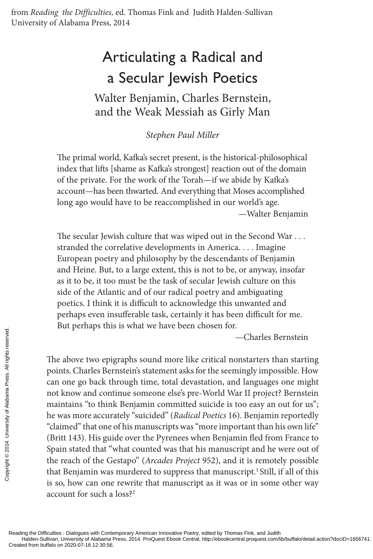from *Reading the Difficulties,* ed. Thomas Fink and Judith Halden-Sullivan University of Alabama Press, 2014

## Articulating a Radical and a Secular Jewish Poetics

Walter Benjamin, Charles Bernstein, and the Weak Messiah as Girly Man

*Stephen Paul Miller*

The primal world, Kafka's secret present, is the historical-philosophical index that lifts [shame as Kafka's strongest] reaction out of the domain of the private. For the work of the Torah—if we abide by Kafka's account—has been thwarted. And everything that Moses accomplished long ago would have to be reaccomplished in our world's age. —Walter Benjamin

The secular Jewish culture that was wiped out in the Second War . . . stranded the correlative developments in America. . . . Imagine European poetry and philosophy by the descendants of Benjamin and Heine. But, to a large extent, this is not to be, or anyway, insofar as it to be, it too must be the task of secular Jewish culture on this side of the Atlantic and of our radical poetry and ambiguating poetics. I think it is difficult to acknowledge this unwanted and perhaps even insufferable task, certainly it has been difficult for me. But perhaps this is what we have been chosen for.

—Charles Bernstein

The above two epigraphs sound more like critical nonstarters than starting points. Charles Bernstein's statement asks for the seemingly impossible. How can one go back through time, total devastation, and languages one might not know and continue someone else's pre-World War II project? Bernstein maintains "to think Benjamin committed suicide is too easy an out for us"; he was more accurately "suicided" (*Radical Poetics* 16). Benjamin reportedly "claimed" that one of his manuscripts was "more important than his own life" (Britt 143). His guide over the Pyrenees when Benjamin fled from France to Spain stated that "what counted was that his manuscript and he were out of the reach of the Gestapo" (*Arcades Project* 952), and it is remotely possible that Benjamin was murdered to suppress that manuscript.<sup>1</sup> Still, if all of this is so, how can one rewrite that manuscript as it was or in some other way account for such a loss?2 Exercise<br>
Exercise on 2020-07-16 12:30:56.<br>
The above two epity<br>
points. Charles Ber<br>
can one go back the<br>
not know and cont<br>
maintains "to thinl<br>
he was more accurations"<br>
"claimed" that one<br>
(Britt 143). His gui<br>
Spain s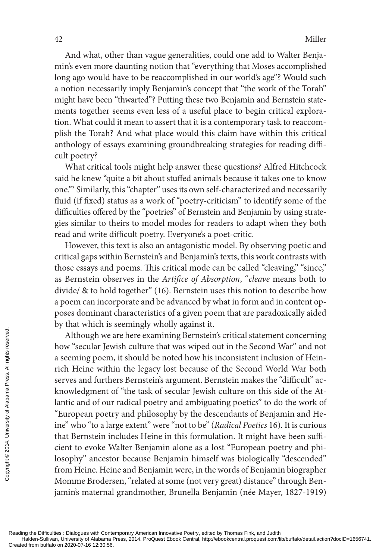And what, other than vague generalities, could one add to Walter Benjamin's even more daunting notion that "everything that Moses accomplished long ago would have to be reaccomplished in our world's age"? Would such a notion necessarily imply Benjamin's concept that "the work of the Torah" might have been "thwarted"? Putting these two Benjamin and Bernstein statements together seems even less of a useful place to begin critical exploration. What could it mean to assert that it is a contemporary task to reaccomplish the Torah? And what place would this claim have within this critical anthology of essays examining groundbreaking strategies for reading difficult poetry?

What critical tools might help answer these questions? Alfred Hitchcock said he knew "quite a bit about stuffed animals because it takes one to know one."3 Similarly, this "chapter" uses its own self-characterized and necessarily fluid (if fixed) status as a work of "poetry-criticism" to identify some of the difficulties offered by the "poetries" of Bernstein and Benjamin by using strategies similar to theirs to model modes for readers to adapt when they both read and write difficult poetry. Everyone's a poet-critic.

However, this text is also an antagonistic model. By observing poetic and critical gaps within Bernstein's and Benjamin's texts, this work contrasts with those essays and poems. This critical mode can be called "cleaving," "since," as Bernstein observes in the *Artifice of Absorption*, "*cleave* means both to divide/ & to hold together" (16). Bernstein uses this notion to describe how a poem can incorporate and be advanced by what in form and in content opposes dominant characteristics of a given poem that are paradoxically aided by that which is seemingly wholly against it.

Although we are here examining Bernstein's critical statement concerning how "secular Jewish culture that was wiped out in the Second War" and not a seeming poem, it should be noted how his inconsistent inclusion of Heinrich Heine within the legacy lost because of the Second World War both serves and furthers Bernstein's argument. Bernstein makes the "difficult" acknowledgment of "the task of secular Jewish culture on this side of the Atlantic and of our radical poetry and ambiguating poetics" to do the work of "European poetry and philosophy by the descendants of Benjamin and Heine" who "to a large extent" were "not to be" (*Radical Poetics* 16). It is curious that Bernstein includes Heine in this formulation. It might have been sufficient to evoke Walter Benjamin alone as a lost "European poetry and philosophy" ancestor because Benjamin himself was biologically "descended" from Heine. Heine and Benjamin were, in the words of Benjamin biographer Momme Brodersen, "related at some (not very great) distance" through Benjamin's maternal grandmother, Brunella Benjamin (née Mayer, 1827-1919) Proposes and further areas in the comparation of the comparation of the control of the control of the control of the control of the control of the control of the control of the control of the control of the control of the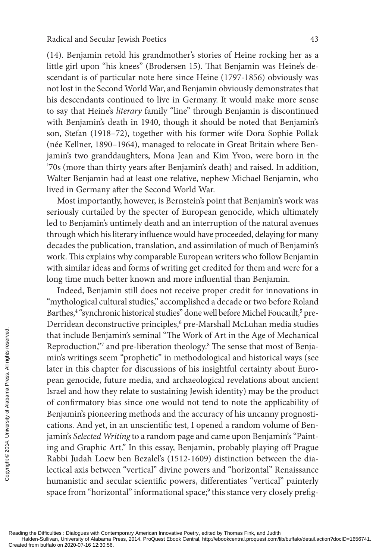(14). Benjamin retold his grandmother's stories of Heine rocking her as a little girl upon "his knees" (Brodersen 15). That Benjamin was Heine's descendant is of particular note here since Heine (1797-1856) obviously was not lost in the Second World War, and Benjamin obviously demonstrates that his descendants continued to live in Germany. It would make more sense to say that Heine's *literary* family "line" through Benjamin is discontinued with Benjamin's death in 1940, though it should be noted that Benjamin's son, Stefan (1918–72), together with his former wife Dora Sophie Pollak (née Kellner, 1890–1964), managed to relocate in Great Britain where Benjamin's two granddaughters, Mona Jean and Kim Yvon, were born in the '70s (more than thirty years after Benjamin's death) and raised. In addition, Walter Benjamin had at least one relative, nephew Michael Benjamin, who lived in Germany after the Second World War.

Most importantly, however, is Bernstein's point that Benjamin's work was seriously curtailed by the specter of European genocide, which ultimately led to Benjamin's untimely death and an interruption of the natural avenues through which his literary influence would have proceeded, delaying for many decades the publication, translation, and assimilation of much of Benjamin's work. This explains why comparable European writers who follow Benjamin with similar ideas and forms of writing get credited for them and were for a long time much better known and more influential than Benjamin.

Indeed, Benjamin still does not receive proper credit for innovations in "mythological cultural studies," accomplished a decade or two before Roland Barthes,<sup>4</sup> "synchronic historical studies" done well before Michel Foucault,<sup>5</sup> pre-Derridean deconstructive principles,<sup>6</sup> pre-Marshall McLuhan media studies that include Benjamin's seminal "The Work of Art in the Age of Mechanical Reproduction,"7 and pre-liberation theology.8 The sense that most of Benjamin's writings seem "prophetic" in methodological and historical ways (see later in this chapter for discussions of his insightful certainty about European genocide, future media, and archaeological revelations about ancient Israel and how they relate to sustaining Jewish identity) may be the product of confirmatory bias since one would not tend to note the applicability of Benjamin's pioneering methods and the accuracy of his uncanny prognostications. And yet, in an unscientific test, I opened a random volume of Benjamin's *Selected Writing* to a random page and came upon Benjamin's "Painting and Graphic Art." In this essay, Benjamin, probably playing off Prague Rabbi Judah Loew ben Bezalel's (1512-1609) distinction between the dialectical axis between "vertical" divine powers and "horizontal" Renaissance humanistic and secular scientific powers, differentiates "vertical" painterly space from "horizontal" informational space;<sup>9</sup> this stance very closely prefig-The most move of confirmatory and the sense of all right of confirmatory bi Benjamin's pioneer cations. And yet, in jamin's *Selected Wr* ing and Graphic A Rabbi Judah Loew lectical axis betwee humanistic and se space from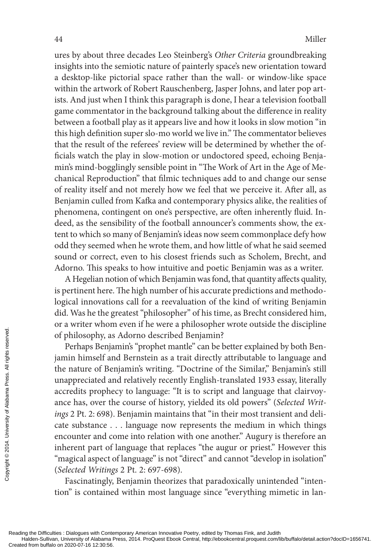ures by about three decades Leo Steinberg's *Other Criteria* groundbreaking insights into the semiotic nature of painterly space's new orientation toward a desktop-like pictorial space rather than the wall- or window-like space within the artwork of Robert Rauschenberg, Jasper Johns, and later pop artists. And just when I think this paragraph is done, I hear a television football game commentator in the background talking about the difference in reality between a football play as it appears live and how it looks in slow motion "in this high definition super slo-mo world we live in." The commentator believes that the result of the referees' review will be determined by whether the officials watch the play in slow-motion or undoctored speed, echoing Benjamin's mind-bogglingly sensible point in "The Work of Art in the Age of Mechanical Reproduction" that filmic techniques add to and change our sense of reality itself and not merely how we feel that we perceive it. After all, as Benjamin culled from Kafka and contemporary physics alike, the realities of phenomena, contingent on one's perspective, are often inherently fluid. Indeed, as the sensibility of the football announcer's comments show, the extent to which so many of Benjamin's ideas now seem commonplace defy how odd they seemed when he wrote them, and how little of what he said seemed sound or correct, even to his closest friends such as Scholem, Brecht, and Adorno. This speaks to how intuitive and poetic Benjamin was as a writer.

A Hegelian notion of which Benjamin was fond, that quantity affects quality, is pertinent here. The high number of his accurate predictions and methodological innovations call for a reevaluation of the kind of writing Benjamin did. Was he the greatest "philosopher" of his time, as Brecht considered him, or a writer whom even if he were a philosopher wrote outside the discipline of philosophy, as Adorno described Benjamin?

Perhaps Benjamin's "prophet mantle" can be better explained by both Benjamin himself and Bernstein as a trait directly attributable to language and the nature of Benjamin's writing. "Doctrine of the Similar," Benjamin's still unappreciated and relatively recently English-translated 1933 essay, literally accredits prophecy to language: "It is to script and language that clairvoyance has, over the course of history, yielded its old powers" (*Selected Writings* 2 Pt. 2: 698). Benjamin maintains that "in their most transient and delicate substance . . . language now represents the medium in which things encounter and come into relation with one another." Augury is therefore an inherent part of language that replaces "the augur or priest." However this "magical aspect of language" is not "direct" and cannot "develop in isolation" (*Selected Writings* 2 Pt. 2: 697-698). From Buffalo of philosophy, as<br>
Perhaps Benja<br>
jamin himself ar<br>
the nature of Be<br>
unappreciated ar<br>
accredits prophe<br>
ance has, over the<br> *ings* 2 Pt. 2: 698).<br>
cate substance .<br>
encounter and co<br>
inherent part of<br>
"magic

Fascinatingly, Benjamin theorizes that paradoxically unintended "intention" is contained within most language since "everything mimetic in lan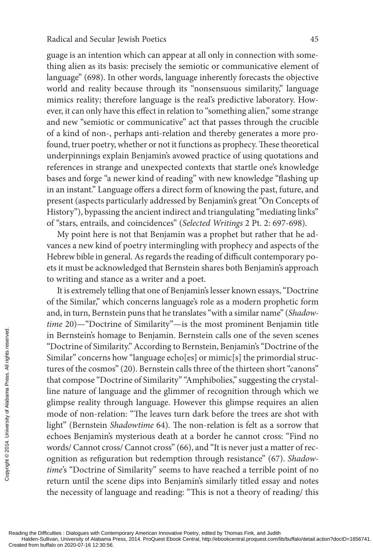guage is an intention which can appear at all only in connection with something alien as its basis: precisely the semiotic or communicative element of language" (698). In other words, language inherently forecasts the objective world and reality because through its "nonsensuous similarity," language mimics reality; therefore language is the real's predictive laboratory. However, it can only have this effect in relation to "something alien," some strange and new "semiotic or communicative" act that passes through the crucible of a kind of non-, perhaps anti-relation and thereby generates a more profound, truer poetry, whether or not it functions as prophecy. These theoretical underpinnings explain Benjamin's avowed practice of using quotations and references in strange and unexpected contexts that startle one's knowledge bases and forge "a newer kind of reading" with new knowledge "flashing up in an instant." Language offers a direct form of knowing the past, future, and present (aspects particularly addressed by Benjamin's great "On Concepts of History"), bypassing the ancient indirect and triangulating "mediating links" of "stars, entrails, and coincidences" (*Selected Writings* 2 Pt. 2: 697-698).

My point here is not that Benjamin was a prophet but rather that he advances a new kind of poetry intermingling with prophecy and aspects of the Hebrew bible in general. As regards the reading of difficult contemporary poets it must be acknowledged that Bernstein shares both Benjamin's approach to writing and stance as a writer and a poet.

It is extremely telling that one of Benjamin's lesser known essays, "Doctrine of the Similar," which concerns language's role as a modern prophetic form and, in turn, Bernstein puns that he translates "with a similar name" (*Shadowtime* 20)—"Doctrine of Similarity"—is the most prominent Benjamin title in Bernstein's homage to Benjamin. Bernstein calls one of the seven scenes "Doctrine of Similarity." According to Bernstein, Benjamin's "Doctrine of the Similar" concerns how "language echo[es] or mimic[s] the primordial structures of the cosmos" (20). Bernstein calls three of the thirteen short "canons" that compose "Doctrine of Similarity" "Amphibolies," suggesting the crystalline nature of language and the glimmer of recognition through which we glimpse reality through language. However this glimpse requires an alien mode of non-relation: "The leaves turn dark before the trees are shot with light" (Bernstein *Shadowtime* 64). The non-relation is felt as a sorrow that echoes Benjamin's mysterious death at a border he cannot cross: "Find no words/ Cannot cross/ Cannot cross" (66), and "It is never just a matter of recognition as refiguration but redemption through resistance" (67). *Shadowtime*'s "Doctrine of Similarity" seems to have reached a terrible point of no return until the scene dips into Benjamin's similarly titled essay and notes the necessity of language and reading: "This is not a theory of reading/ this From Bernstein's hom<br>
"Doctrine of Similar"<br>
Similar" concerns l<br>
tures of the cosmos<br>
that compose "Doc<br>
line nature of lang<br>
glimpse reality thr<br>
mode of non-relat<br>
light" (Bernstein S<br>
echoes Benjamin's<br>
words/ Cannot c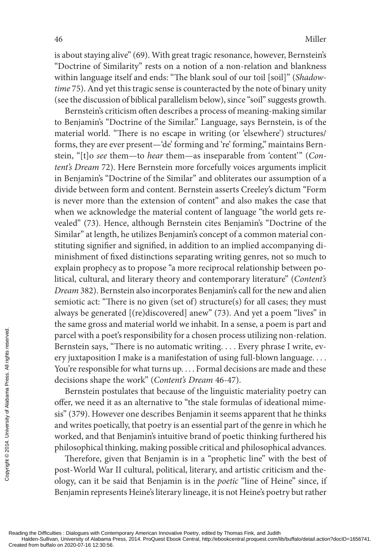is about staying alive" (69). With great tragic resonance, however, Bernstein's "Doctrine of Similarity" rests on a notion of a non-relation and blankness within language itself and ends: "The blank soul of our toil [soil]" (*Shadowtime* 75). And yet this tragic sense is counteracted by the note of binary unity (see the discussion of biblical parallelism below), since "soil" suggests growth.

Bernstein's criticism often describes a process of meaning-making similar to Benjamin's "Doctrine of the Similar." Language, says Bernstein, is of the material world. "There is no escape in writing (or 'elsewhere') structures/ forms, they are ever present—'de' forming and 're' forming," maintains Bernstein, "[t]o *see* them—to *hear* them—as inseparable from 'content'" (*Content's Dream* 72). Here Bernstein more forcefully voices arguments implicit in Benjamin's "Doctrine of the Similar" and obliterates our assumption of a divide between form and content. Bernstein asserts Creeley's dictum "Form is never more than the extension of content" and also makes the case that when we acknowledge the material content of language "the world gets revealed" (73). Hence, although Bernstein cites Benjamin's "Doctrine of the Similar" at length, he utilizes Benjamin's concept of a common material constituting signifier and signified, in addition to an implied accompanying diminishment of fixed distinctions separating writing genres, not so much to explain prophecy as to propose "a more reciprocal relationship between political, cultural, and literary theory and contemporary literature" (*Content's Dream* 382). Bernstein also incorporates Benjamin's call for the new and alien semiotic act: "There is no given (set of) structure(s) for all cases; they must always be generated [(re)discovered] anew" (73). And yet a poem "lives" in the same gross and material world we inhabit. In a sense, a poem is part and parcel with a poet's responsibility for a chosen process utilizing non-relation. Bernstein says, "There is no automatic writing. . . . Every phrase I write, every juxtaposition I make is a manifestation of using full-blown language. . . . You're responsible for what turns up. . . . Formal decisions are made and these decisions shape the work" (*Content's Dream* 46-47).

Bernstein postulates that because of the linguistic materiality poetry can offer, we need it as an alternative to "the stale formulas of ideational mimesis" (379). However one describes Benjamin it seems apparent that he thinks and writes poetically, that poetry is an essential part of the genre in which he worked, and that Benjamin's intuitive brand of poetic thinking furthered his philosophical thinking, making possible critical and philosophical advances. Press. Press. Press. Press. Press. Press. Press. Press. Press. Press. Press. Press. Press. Press. Press. Press. Press. Press. Press. Press. Press. Press. Press. Press. Press. Press. Press. Press. Press. Press. Press. Press

Therefore, given that Benjamin is in a "prophetic line" with the best of post-World War II cultural, political, literary, and artistic criticism and theology, can it be said that Benjamin is in the *poetic* "line of Heine" since, if Benjamin represents Heine's literary lineage, it is not Heine's poetry but rather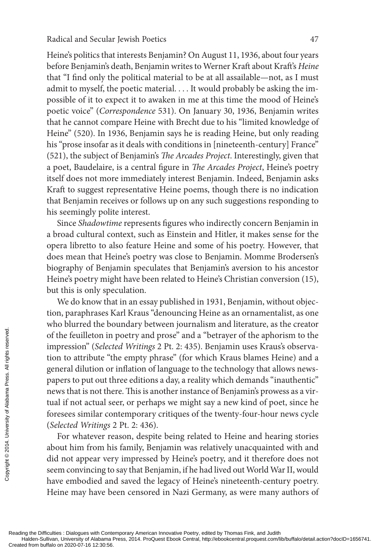Heine's politics that interests Benjamin? On August 11, 1936, about four years before Benjamin's death, Benjamin writes to Werner Kraft about Kraft's *Heine* that "I find only the political material to be at all assailable—not, as I must admit to myself, the poetic material. . . . It would probably be asking the impossible of it to expect it to awaken in me at this time the mood of Heine's poetic voice" (*Correspondence* 531). On January 30, 1936, Benjamin writes that he cannot compare Heine with Brecht due to his "limited knowledge of Heine" (520). In 1936, Benjamin says he is reading Heine, but only reading his "prose insofar as it deals with conditions in [nineteenth-century] France" (521), the subject of Benjamin's *The Arcades Project*. Interestingly, given that a poet, Baudelaire, is a central figure in *The Arcades Project*, Heine's poetry itself does not more immediately interest Benjamin. Indeed, Benjamin asks Kraft to suggest representative Heine poems, though there is no indication that Benjamin receives or follows up on any such suggestions responding to his seemingly polite interest.

Since *Shadowtime* represents figures who indirectly concern Benjamin in a broad cultural context, such as Einstein and Hitler, it makes sense for the opera libretto to also feature Heine and some of his poetry. However, that does mean that Heine's poetry was close to Benjamin. Momme Brodersen's biography of Benjamin speculates that Benjamin's aversion to his ancestor Heine's poetry might have been related to Heine's Christian conversion (15), but this is only speculation.

We do know that in an essay published in 1931, Benjamin, without objection, paraphrases Karl Kraus "denouncing Heine as an ornamentalist, as one who blurred the boundary between journalism and literature, as the creator of the feuilleton in poetry and prose" and a "betrayer of the aphorism to the impression" (*Selected Writings* 2 Pt. 2: 435). Benjamin uses Kraus's observation to attribute "the empty phrase" (for which Kraus blames Heine) and a general dilution or inflation of language to the technology that allows newspapers to put out three editions a day, a reality which demands "inauthentic" news that is not there. This is another instance of Benjamin's prowess as a virtual if not actual seer, or perhaps we might say a new kind of poet, since he foresees similar contemporary critiques of the twenty-four-hour news cycle (*Selected Writings* 2 Pt. 2: 436). From the feuilleton in<br>
impression" (*Select*<br>
tion to attribute "tl<br>
general dilution or<br>
papers to put out th<br>
news that is not the<br>
tual if not actual se<br>
foresees similar con<br>
(*Selected Writings* ?<br>
For whatever re<br>
a

For whatever reason, despite being related to Heine and hearing stories about him from his family, Benjamin was relatively unacquainted with and did not appear very impressed by Heine's poetry, and it therefore does not seem convincing to say that Benjamin, if he had lived out World War II, would have embodied and saved the legacy of Heine's nineteenth-century poetry. Heine may have been censored in Nazi Germany, as were many authors of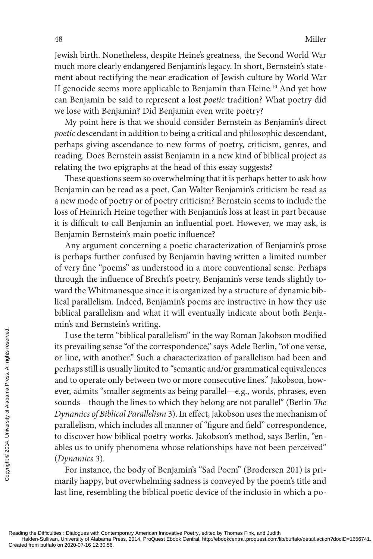Jewish birth. Nonetheless, despite Heine's greatness, the Second World War much more clearly endangered Benjamin's legacy. In short, Bernstein's statement about rectifying the near eradication of Jewish culture by World War II genocide seems more applicable to Benjamin than Heine.<sup>10</sup> And yet how can Benjamin be said to represent a lost *poetic* tradition? What poetry did we lose with Benjamin? Did Benjamin even write poetry?

My point here is that we should consider Bernstein as Benjamin's direct *poetic* descendant in addition to being a critical and philosophic descendant, perhaps giving ascendance to new forms of poetry, criticism, genres, and reading. Does Bernstein assist Benjamin in a new kind of biblical project as relating the two epigraphs at the head of this essay suggests?

These questions seem so overwhelming that it is perhaps better to ask how Benjamin can be read as a poet. Can Walter Benjamin's criticism be read as a new mode of poetry or of poetry criticism? Bernstein seems to include the loss of Heinrich Heine together with Benjamin's loss at least in part because it is difficult to call Benjamin an influential poet. However, we may ask, is Benjamin Bernstein's main poetic influence?

Any argument concerning a poetic characterization of Benjamin's prose is perhaps further confused by Benjamin having written a limited number of very fine "poems" as understood in a more conventional sense. Perhaps through the influence of Brecht's poetry, Benjamin's verse tends slightly toward the Whitmanesque since it is organized by a structure of dynamic biblical parallelism. Indeed, Benjamin's poems are instructive in how they use biblical parallelism and what it will eventually indicate about both Benjamin's and Bernstein's writing.

I use the term "biblical parallelism" in the way Roman Jakobson modified its prevailing sense "of the correspondence," says Adele Berlin, "of one verse, or line, with another." Such a characterization of parallelism had been and perhaps still is usually limited to "semantic and/or grammatical equivalences and to operate only between two or more consecutive lines." Jakobson, however, admits "smaller segments as being parallel—e.g., words, phrases, even sounds—though the lines to which they belong are not parallel" (Berlin *The Dynamics of Biblical Parallelism* 3). In effect, Jakobson uses the mechanism of parallelism, which includes all manner of "figure and field" correspondence, to discover how biblical poetry works. Jakobson's method, says Berlin, "enables us to unify phenomena whose relationships have not been perceived" (*Dynamics* 3). From the term<br>
its prevailing sen<br>
or line, with ance<br>
perhaps still is us<br>
and to operate on<br>
ever, admits "sm<br>
sounds—though<br>
Dynamics of Bibl<br>
parallelism, whic<br>
to discover how<br>
ables us to unify<br>
(Dynamics 3).<br>
For in

For instance, the body of Benjamin's "Sad Poem" (Brodersen 201) is primarily happy, but overwhelming sadness is conveyed by the poem's title and last line, resembling the biblical poetic device of the inclusio in which a po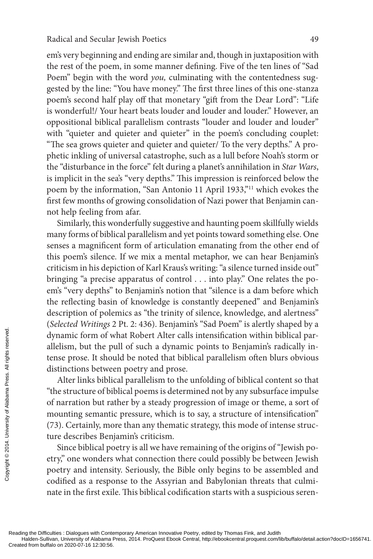em's very beginning and ending are similar and, though in juxtaposition with the rest of the poem, in some manner defining. Five of the ten lines of "Sad Poem" begin with the word *you,* culminating with the contentedness suggested by the line: "You have money." The first three lines of this one-stanza poem's second half play off that monetary "gift from the Dear Lord": "Life is wonderful!/ Your heart beats louder and louder and louder." However, an oppositional biblical parallelism contrasts "louder and louder and louder" with "quieter and quieter and quieter" in the poem's concluding couplet: "The sea grows quieter and quieter and quieter/ To the very depths." A prophetic inkling of universal catastrophe, such as a lull before Noah's storm or the "disturbance in the force" felt during a planet's annihilation in *Star Wars*, is implicit in the sea's "very depths." This impression is reinforced below the poem by the information, "San Antonio 11 April 1933,"<sup>11</sup> which evokes the first few months of growing consolidation of Nazi power that Benjamin cannot help feeling from afar.

Similarly, this wonderfully suggestive and haunting poem skillfully wields many forms of biblical parallelism and yet points toward something else. One senses a magnificent form of articulation emanating from the other end of this poem's silence. If we mix a mental metaphor, we can hear Benjamin's criticism in his depiction of Karl Kraus's writing: "a silence turned inside out" bringing "a precise apparatus of control . . . into play." One relates the poem's "very depths" to Benjamin's notion that "silence is a dam before which the reflecting basin of knowledge is constantly deepened" and Benjamin's description of polemics as "the trinity of silence, knowledge, and alertness" (*Selected Writings* 2 Pt. 2: 436). Benjamin's "Sad Poem" is alertly shaped by a dynamic form of what Robert Alter calls intensification within biblical parallelism, but the pull of such a dynamic points to Benjamin's radically intense prose. It should be noted that biblical parallelism often blurs obvious distinctions between poetry and prose.

Alter links biblical parallelism to the unfolding of biblical content so that "the structure of biblical poems is determined not by any subsurface impulse of narration but rather by a steady progression of image or theme, a sort of mounting semantic pressure, which is to say, a structure of intensification" (73). Certainly, more than any thematic strategy, this mode of intense structure describes Benjamin's criticism. Exercise the distinctions between all<br>elism, but the p<br>tense prose. It should<br>distinctions between Alter links biblis<br>"the structure of bill<br>of narration but ral mounting semanti<br>(73). Certainly, mo<br>ture describes Ben<br>Sinc

Since biblical poetry is all we have remaining of the origins of "Jewish poetry," one wonders what connection there could possibly be between Jewish poetry and intensity. Seriously, the Bible only begins to be assembled and codified as a response to the Assyrian and Babylonian threats that culminate in the first exile. This biblical codification starts with a suspicious seren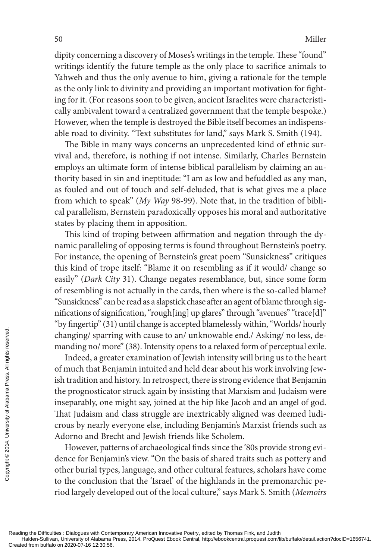dipity concerning a discovery of Moses's writings in the temple. These "found" writings identify the future temple as the only place to sacrifice animals to Yahweh and thus the only avenue to him, giving a rationale for the temple as the only link to divinity and providing an important motivation for fighting for it. (For reasons soon to be given, ancient Israelites were characteristically ambivalent toward a centralized government that the temple bespoke.) However, when the temple is destroyed the Bible itself becomes an indispensable road to divinity. "Text substitutes for land," says Mark S. Smith (194).

The Bible in many ways concerns an unprecedented kind of ethnic survival and, therefore, is nothing if not intense. Similarly, Charles Bernstein employs an ultimate form of intense biblical parallelism by claiming an authority based in sin and ineptitude: "I am as low and befuddled as any man, as fouled and out of touch and self-deluded, that is what gives me a place from which to speak" (*My Way* 98-99). Note that, in the tradition of biblical parallelism, Bernstein paradoxically opposes his moral and authoritative states by placing them in apposition.

This kind of troping between affirmation and negation through the dynamic paralleling of opposing terms is found throughout Bernstein's poetry. For instance, the opening of Bernstein's great poem "Sunsickness" critiques this kind of trope itself: "Blame it on resembling as if it would/ change so easily" (*Dark City* 31). Change negates resemblance, but, since some form of resembling is not actually in the cards, then where is the so-called blame? "Sunsickness" can be read as a slapstick chase after an agent of blame through significations of signification, "rough[ing] up glares" through "avenues" "trace[d]" "by fingertip" (31) until change is accepted blamelessly within, "Worlds/ hourly changing/ sparring with cause to an/ unknowable end./ Asking/ no less, demanding no/ more" (38). Intensity opens to a relaxed form of perceptual exile.

Indeed, a greater examination of Jewish intensity will bring us to the heart of much that Benjamin intuited and held dear about his work involving Jewish tradition and history. In retrospect, there is strong evidence that Benjamin the prognosticator struck again by insisting that Marxism and Judaism were inseparably, one might say, joined at the hip like Jacob and an angel of god. That Judaism and class struggle are inextricably aligned was deemed ludicrous by nearly everyone else, including Benjamin's Marxist friends such as Adorno and Brecht and Jewish friends like Scholem. Created from buffalo or 2021<br>
Experimental on 2021<br>
Experimental from that Ber<br>
signification and the prognosticate<br>
inseparably, one<br>
That Judaism an<br>
crous by nearly  $\epsilon$ <br>
Adorno and Bree<br>
However, patt<br>
dence for Benjan

However, patterns of archaeological finds since the '80s provide strong evidence for Benjamin's view. "On the basis of shared traits such as pottery and other burial types, language, and other cultural features, scholars have come to the conclusion that the 'Israel' of the highlands in the premonarchic period largely developed out of the local culture," says Mark S. Smith (*Memoirs*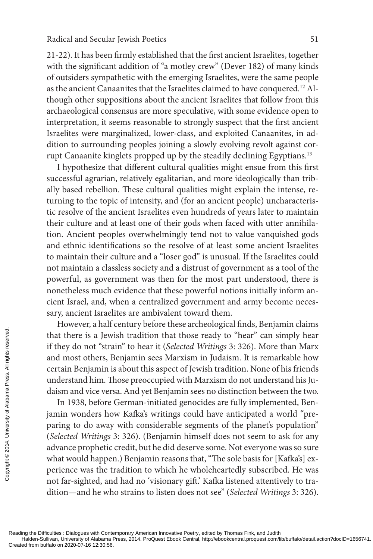21-22). It has been firmly established that the first ancient Israelites, together with the significant addition of "a motley crew" (Dever 182) of many kinds of outsiders sympathetic with the emerging Israelites, were the same people as the ancient Canaanites that the Israelites claimed to have conquered.12 Although other suppositions about the ancient Israelites that follow from this archaeological consensus are more speculative, with some evidence open to interpretation, it seems reasonable to strongly suspect that the first ancient Israelites were marginalized, lower-class, and exploited Canaanites, in addition to surrounding peoples joining a slowly evolving revolt against corrupt Canaanite kinglets propped up by the steadily declining Egyptians.<sup>13</sup>

I hypothesize that different cultural qualities might ensue from this first successful agrarian, relatively egalitarian, and more ideologically than tribally based rebellion. These cultural qualities might explain the intense, returning to the topic of intensity, and (for an ancient people) uncharacteristic resolve of the ancient Israelites even hundreds of years later to maintain their culture and at least one of their gods when faced with utter annihilation. Ancient peoples overwhelmingly tend not to value vanquished gods and ethnic identifications so the resolve of at least some ancient Israelites to maintain their culture and a "loser god" is unusual. If the Israelites could not maintain a classless society and a distrust of government as a tool of the powerful, as government was then for the most part understood, there is nonetheless much evidence that these powerful notions initially inform ancient Israel, and, when a centralized government and army become necessary, ancient Israelites are ambivalent toward them.

However, a half century before these archeological finds, Benjamin claims that there is a Jewish tradition that those ready to "hear" can simply hear if they do not "strain" to hear it (*Selected Writings* 3: 326). More than Marx and most others, Benjamin sees Marxism in Judaism. It is remarkable how certain Benjamin is about this aspect of Jewish tradition. None of his friends understand him. Those preoccupied with Marxism do not understand his Judaism and vice versa. And yet Benjamin sees no distinction between the two.

In 1938, before German-initiated genocides are fully implemented, Benjamin wonders how Kafka's writings could have anticipated a world "preparing to do away with considerable segments of the planet's population" (*Selected Writings* 3: 326). (Benjamin himself does not seem to ask for any advance prophetic credit, but he did deserve some. Not everyone was so sure what would happen.) Benjamin reasons that, "The sole basis for [Kafka's] experience was the tradition to which he wholeheartedly subscribed. He was not far-sighted, and had no 'visionary gift.' Kafka listened attentively to tradition—and he who strains to listen does not see" (*Selected Writings* 3: 326). From that there is a Jew.<br>
if they do not "stra<br>
and most others, E<br>
certain Benjamin is<br>
understand him. Tl<br>
daism and vice vers<br>
In 1938, before<br>
jamin wonders ho<br>
paring to do away<br>
(*Selected Writings*:<br>
advance prophe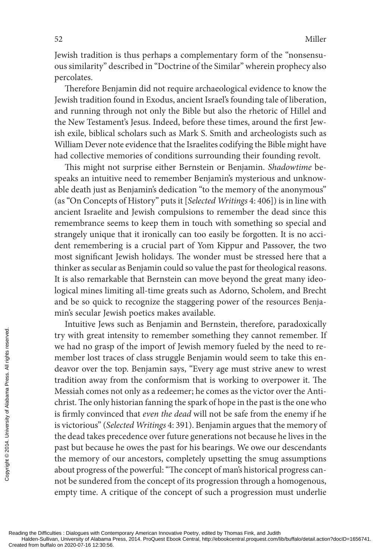Jewish tradition is thus perhaps a complementary form of the "nonsensuous similarity" described in "Doctrine of the Similar" wherein prophecy also percolates.

Therefore Benjamin did not require archaeological evidence to know the Jewish tradition found in Exodus, ancient Israel's founding tale of liberation, and running through not only the Bible but also the rhetoric of Hillel and the New Testament's Jesus. Indeed, before these times, around the first Jewish exile, biblical scholars such as Mark S. Smith and archeologists such as William Dever note evidence that the Israelites codifying the Bible might have had collective memories of conditions surrounding their founding revolt.

This might not surprise either Bernstein or Benjamin. *Shadowtime* bespeaks an intuitive need to remember Benjamin's mysterious and unknowable death just as Benjamin's dedication "to the memory of the anonymous" (as "On Concepts of History" puts it [*Selected Writings* 4: 406]) is in line with ancient Israelite and Jewish compulsions to remember the dead since this remembrance seems to keep them in touch with something so special and strangely unique that it ironically can too easily be forgotten. It is no accident remembering is a crucial part of Yom Kippur and Passover, the two most significant Jewish holidays. The wonder must be stressed here that a thinker as secular as Benjamin could so value the past for theological reasons. It is also remarkable that Bernstein can move beyond the great many ideological mines limiting all-time greats such as Adorno, Scholem, and Brecht and be so quick to recognize the staggering power of the resources Benjamin's secular Jewish poetics makes available.

Intuitive Jews such as Benjamin and Bernstein, therefore, paradoxically try with great intensity to remember something they cannot remember. If we had no grasp of the import of Jewish memory fueled by the need to remember lost traces of class struggle Benjamin would seem to take this endeavor over the top. Benjamin says, "Every age must strive anew to wrest tradition away from the conformism that is working to overpower it. The Messiah comes not only as a redeemer; he comes as the victor over the Antichrist. The only historian fanning the spark of hope in the past is the one who is firmly convinced that *even the dead* will not be safe from the enemy if he is victorious" (*Selected Writings* 4: 391). Benjamin argues that the memory of the dead takes precedence over future generations not because he lives in the past but because he owes the past for his bearings. We owe our descendants the memory of our ancestors, completely upsetting the smug assumptions about progress of the powerful: "The concept of man's historical progress cannot be sundered from the concept of its progression through a homogenous, empty time. A critique of the concept of such a progression must underlie Exerces from buffalo or 2021<br>
Exerces from the tradition away fit Messiah comes related<br>
tradition away fit Messiah comes related<br>
the stress of Alabama Press. All rights reserved. Also<br>
the dead takes press of about progr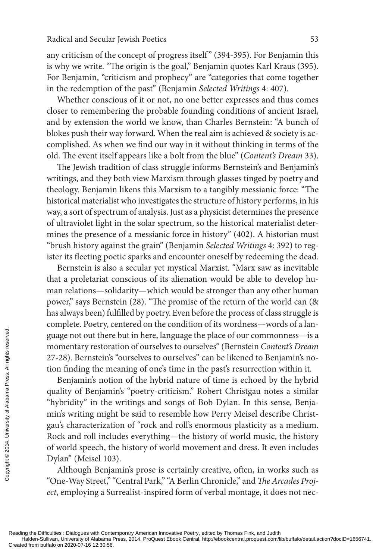any criticism of the concept of progress itself" (394-395). For Benjamin this is why we write. "The origin is the goal," Benjamin quotes Karl Kraus (395). For Benjamin, "criticism and prophecy" are "categories that come together in the redemption of the past" (Benjamin *Selected Writings* 4: 407).

Whether conscious of it or not, no one better expresses and thus comes closer to remembering the probable founding conditions of ancient Israel, and by extension the world we know, than Charles Bernstein: "A bunch of blokes push their way forward. When the real aim is achieved & society is accomplished. As when we find our way in it without thinking in terms of the old. The event itself appears like a bolt from the blue" (*Content's Dream* 33).

The Jewish tradition of class struggle informs Bernstein's and Benjamin's writings, and they both view Marxism through glasses tinged by poetry and theology. Benjamin likens this Marxism to a tangibly messianic force: "The historical materialist who investigates the structure of history performs, in his way, a sort of spectrum of analysis. Just as a physicist determines the presence of ultraviolet light in the solar spectrum, so the historical materialist determines the presence of a messianic force in history" (402). A historian must "brush history against the grain" (Benjamin *Selected Writings* 4: 392) to register its fleeting poetic sparks and encounter oneself by redeeming the dead.

Bernstein is also a secular yet mystical Marxist. "Marx saw as inevitable that a proletariat conscious of its alienation would be able to develop human relations—solidarity—which would be stronger than any other human power," says Bernstein (28). "The promise of the return of the world can (& has always been) fulfilled by poetry. Even before the process of class struggle is complete. Poetry, centered on the condition of its wordness—words of a language not out there but in here, language the place of our commonness—is a momentary restoration of ourselves to ourselves" (Bernstein *Content's Dream* 27-28). Bernstein's "ourselves to ourselves" can be likened to Benjamin's notion finding the meaning of one's time in the past's resurrection within it.

Benjamin's notion of the hybrid nature of time is echoed by the hybrid quality of Benjamin's "poetry-criticism." Robert Christgau notes a similar "hybridity" in the writings and songs of Bob Dylan. In this sense, Benjamin's writing might be said to resemble how Perry Meisel describe Christgau's characterization of "rock and roll's enormous plasticity as a medium. Rock and roll includes everything—the history of world music, the history of world speech, the history of world movement and dress. It even includes Dylan" (Meisel 103). Exercise<br>
guage not out there<br>
momentary restora<br>
27-28). Bernstein's<br>
tion finding the momentary<br>
Benjamin's notic<br>
quality of Benjamin<br>
"hybridity" in the<br>
min's writing migh<br>
gau's characterizati<br>
Rock and roll inclu<br>
o

Although Benjamin's prose is certainly creative, often, in works such as "One-Way Street," "Central Park," "A Berlin Chronicle," and *The Arcades Project*, employing a Surrealist-inspired form of verbal montage, it does not nec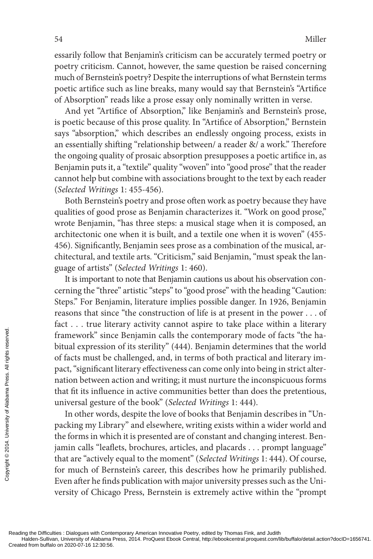essarily follow that Benjamin's criticism can be accurately termed poetry or poetry criticism. Cannot, however, the same question be raised concerning much of Bernstein's poetry? Despite the interruptions of what Bernstein terms poetic artifice such as line breaks, many would say that Bernstein's "Artifice of Absorption" reads like a prose essay only nominally written in verse.

And yet "Artifice of Absorption," like Benjamin's and Bernstein's prose, is poetic because of this prose quality. In "Artifice of Absorption," Bernstein says "absorption," which describes an endlessly ongoing process, exists in an essentially shifting "relationship between/ a reader &/ a work." Therefore the ongoing quality of prosaic absorption presupposes a poetic artifice in, as Benjamin puts it, a "textile" quality "woven" into "good prose" that the reader cannot help but combine with associations brought to the text by each reader (*Selected Writings* 1: 455-456).

Both Bernstein's poetry and prose often work as poetry because they have qualities of good prose as Benjamin characterizes it. "Work on good prose," wrote Benjamin, "has three steps: a musical stage when it is composed, an architectonic one when it is built, and a textile one when it is woven" (455- 456). Significantly, Benjamin sees prose as a combination of the musical, architectural, and textile arts. "Criticism," said Benjamin, "must speak the language of artists" (*Selected Writings* 1: 460).

It is important to note that Benjamin cautions us about his observation concerning the "three" artistic "steps" to "good prose" with the heading "Caution: Steps." For Benjamin, literature implies possible danger. In 1926, Benjamin reasons that since "the construction of life is at present in the power . . . of fact . . . true literary activity cannot aspire to take place within a literary framework" since Benjamin calls the contemporary mode of facts "the habitual expression of its sterility" (444). Benjamin determines that the world of facts must be challenged, and, in terms of both practical and literary impact, "significant literary effectiveness can come only into being in strict alternation between action and writing; it must nurture the inconspicuous forms that fit its influence in active communities better than does the pretentious, universal gesture of the book" (*Selected Writings* 1: 444).

In other words, despite the love of books that Benjamin describes in "Unpacking my Library" and elsewhere, writing exists within a wider world and the forms in which it is presented are of constant and changing interest. Benjamin calls "leaflets, brochures, articles, and placards . . . prompt language" that are "actively equal to the moment" (*Selected Writings* 1: 444). Of course, for much of Bernstein's career, this describes how he primarily published. Even after he finds publication with major university presses such as the University of Chicago Press, Bernstein is extremely active within the "prompt Framework" sinc<br>
bitual expression<br>
of facts must be<br>
pact, "significant<br>
nation between a<br>
that fit its influer<br>
universal gesture<br>
In other word<br>
packing my Libr<br>
the forms in which<br>
jamin calls "leafl<br>
that are "activel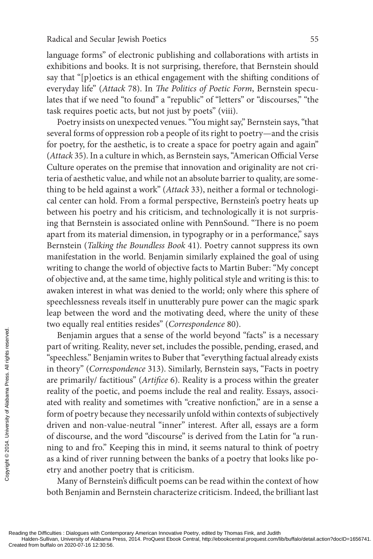language forms" of electronic publishing and collaborations with artists in exhibitions and books. It is not surprising, therefore, that Bernstein should say that "[p]oetics is an ethical engagement with the shifting conditions of everyday life" (*Attack* 78). In *The Politics of Poetic Form*, Bernstein speculates that if we need "to found" a "republic" of "letters" or "discourses," "the task requires poetic acts, but not just by poets" (viii).

Poetry insists on unexpected venues. "You might say," Bernstein says, "that several forms of oppression rob a people of its right to poetry—and the crisis for poetry, for the aesthetic, is to create a space for poetry again and again" (*Attack* 35). In a culture in which, as Bernstein says, "American Official Verse Culture operates on the premise that innovation and originality are not criteria of aesthetic value, and while not an absolute barrier to quality, are something to be held against a work" (*Attack* 33), neither a formal or technological center can hold. From a formal perspective, Bernstein's poetry heats up between his poetry and his criticism, and technologically it is not surprising that Bernstein is associated online with PennSound. "There is no poem apart from its material dimension, in typography or in a performance," says Bernstein (*Talking the Boundless Book* 41). Poetry cannot suppress its own manifestation in the world. Benjamin similarly explained the goal of using writing to change the world of objective facts to Martin Buber: "My concept of objective and, at the same time, highly political style and writing is this: to awaken interest in what was denied to the world; only where this sphere of speechlessness reveals itself in unutterably pure power can the magic spark leap between the word and the motivating deed, where the unity of these two equally real entities resides" (*Correspondence* 80).

Benjamin argues that a sense of the world beyond "facts" is a necessary part of writing. Reality, never set, includes the possible, pending, erased, and "speechless." Benjamin writes to Buber that "everything factual already exists in theory" (*Correspondence* 313). Similarly, Bernstein says, "Facts in poetry are primarily/ factitious" (*Artifice* 6). Reality is a process within the greater reality of the poetic, and poems include the real and reality. Essays, associated with reality and sometimes with "creative nonfiction," are in a sense a form of poetry because they necessarily unfold within contexts of subjectively driven and non-value-neutral "inner" interest. After all, essays are a form of discourse, and the word "discourse" is derived from the Latin for "a running to and fro." Keeping this in mind, it seems natural to think of poetry as a kind of river running between the banks of a poetry that looks like poetry and another poetry that is criticism. Exercise the periparin argue<br>
part of writing. Reat<br>
"speechless." Benjan<br>
are primarily/ faction reality of the poetial<br>
reality of the poetial<br>
ated with reality and form of poetry because, and the<br>
of discourse, and the

Many of Bernstein's difficult poems can be read within the context of how both Benjamin and Bernstein characterize criticism. Indeed, the brilliant last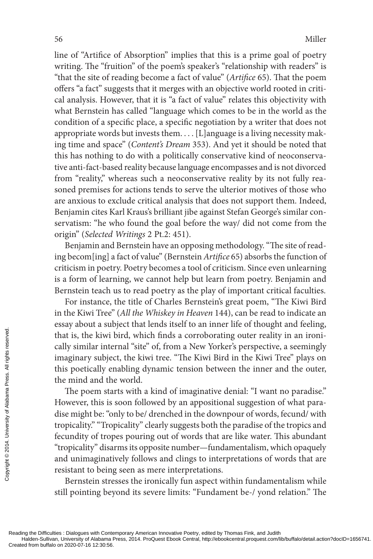line of "Artifice of Absorption" implies that this is a prime goal of poetry writing. The "fruition" of the poem's speaker's "relationship with readers" is "that the site of reading become a fact of value" (*Artifice* 65). That the poem offers "a fact" suggests that it merges with an objective world rooted in critical analysis. However, that it is "a fact of value" relates this objectivity with what Bernstein has called "language which comes to be in the world as the condition of a specific place, a specific negotiation by a writer that does not appropriate words but invests them. . . . [L]anguage is a living necessity making time and space" (*Content's Dream* 353). And yet it should be noted that this has nothing to do with a politically conservative kind of neoconservative anti-fact-based reality because language encompasses and is not divorced from "reality," whereas such a neoconservative reality by its not fully reasoned premises for actions tends to serve the ulterior motives of those who are anxious to exclude critical analysis that does not support them. Indeed, Benjamin cites Karl Kraus's brilliant jibe against Stefan George's similar conservatism: "he who found the goal before the way/ did not come from the origin" (*Selected Writings* 2 Pt.2: 451).

Benjamin and Bernstein have an opposing methodology. "The site of reading becom[ing] a fact of value" (Bernstein *Artifice* 65) absorbs the function of criticism in poetry. Poetry becomes a tool of criticism. Since even unlearning is a form of learning, we cannot help but learn from poetry. Benjamin and Bernstein teach us to read poetry as the play of important critical faculties.

For instance, the title of Charles Bernstein's great poem, "The Kiwi Bird in the Kiwi Tree" (*All the Whiskey in Heaven* 144), can be read to indicate an essay about a subject that lends itself to an inner life of thought and feeling, that is, the kiwi bird, which finds a corroborating outer reality in an ironically similar internal "site" of, from a New Yorker's perspective, a seemingly imaginary subject, the kiwi tree. "The Kiwi Bird in the Kiwi Tree" plays on this poetically enabling dynamic tension between the inner and the outer, the mind and the world.

The poem starts with a kind of imaginative denial: "I want no paradise." However, this is soon followed by an appositional suggestion of what paradise might be: "only to be/ drenched in the downpour of words, fecund/ with tropicality." "Tropicality" clearly suggests both the paradise of the tropics and fecundity of tropes pouring out of words that are like water. This abundant "tropicality" disarms its opposite number—fundamentalism, which opaquely and unimaginatively follows and clings to interpretations of words that are resistant to being seen as mere interpretations. Exercise that is, the kiwi<br>
cally similar inte<br>
imaginary subject<br>
this poetically enterprenent<br>
the mind and the<br>
The poem sta<br>
However, this is<br>
dise might be: "or<br>
tropicality." "Trop<br>
fecundity of trop<br>
"tropicality" d

Bernstein stresses the ironically fun aspect within fundamentalism while still pointing beyond its severe limits: "Fundament be-/ yond relation." The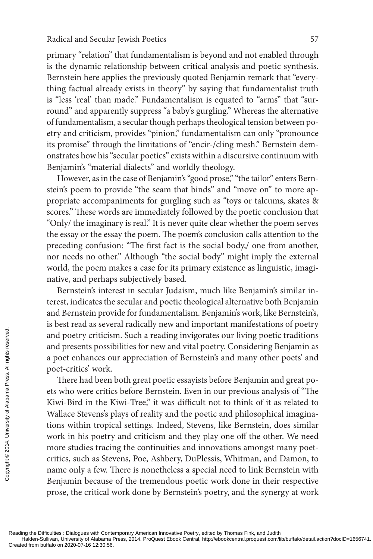primary "relation" that fundamentalism is beyond and not enabled through is the dynamic relationship between critical analysis and poetic synthesis. Bernstein here applies the previously quoted Benjamin remark that "everything factual already exists in theory" by saying that fundamentalist truth is "less 'real' than made." Fundamentalism is equated to "arms" that "surround" and apparently suppress "a baby's gurgling." Whereas the alternative of fundamentalism, a secular though perhaps theological tension between poetry and criticism, provides "pinion," fundamentalism can only "pronounce its promise" through the limitations of "encir-/cling mesh." Bernstein demonstrates how his "secular poetics" exists within a discursive continuum with Benjamin's "material dialects" and worldly theology.

However, as in the case of Benjamin's "good prose," "the tailor" enters Bernstein's poem to provide "the seam that binds" and "move on" to more appropriate accompaniments for gurgling such as "toys or talcums, skates & scores." These words are immediately followed by the poetic conclusion that "Only/ the imaginary is real." It is never quite clear whether the poem serves the essay or the essay the poem. The poem's conclusion calls attention to the preceding confusion: "The first fact is the social body,/ one from another, nor needs no other." Although "the social body" might imply the external world, the poem makes a case for its primary existence as linguistic, imaginative, and perhaps subjectively based.

Bernstein's interest in secular Judaism, much like Benjamin's similar interest, indicates the secular and poetic theological alternative both Benjamin and Bernstein provide for fundamentalism. Benjamin's work, like Bernstein's, is best read as several radically new and important manifestations of poetry and poetry criticism. Such a reading invigorates our living poetic traditions and presents possibilities for new and vital poetry. Considering Benjamin as a poet enhances our appreciation of Bernstein's and many other poets' and poet-critics' work.

There had been both great poetic essayists before Benjamin and great poets who were critics before Bernstein. Even in our previous analysis of "The Kiwi-Bird in the Kiwi-Tree," it was difficult not to think of it as related to Wallace Stevens's plays of reality and the poetic and philosophical imaginations within tropical settings. Indeed, Stevens, like Bernstein, does similar work in his poetry and criticism and they play one off the other. We need more studies tracing the continuities and innovations amongst many poetcritics, such as Stevens, Poe, Ashbery, DuPlessis, Whitman, and Damon, to name only a few. There is nonetheless a special need to link Bernstein with Benjamin because of the tremendous poetic work done in their respective prose, the critical work done by Bernstein's poetry, and the synergy at work Proposed and poetry criticiss<br>
and presents possil<br>
a poet enhances ou<br>
poet-critics' work.<br>
There had been<br>
ets who were critic<br>
Kiwi-Bird in the K<br>
Wallace Stevens's p<br>
tions within tropic<br>
work in his poetry<br>
more studi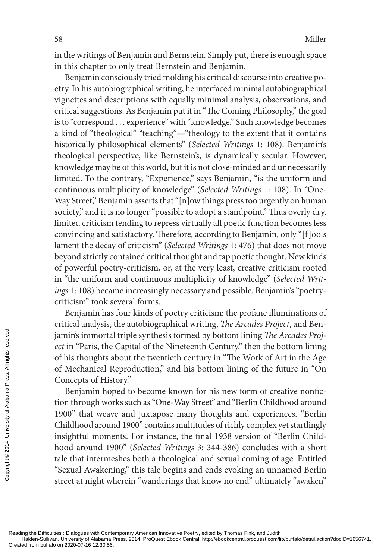in the writings of Benjamin and Bernstein. Simply put, there is enough space in this chapter to only treat Bernstein and Benjamin.

Benjamin consciously tried molding his critical discourse into creative poetry. In his autobiographical writing, he interfaced minimal autobiographical vignettes and descriptions with equally minimal analysis, observations, and critical suggestions. As Benjamin put it in "The Coming Philosophy," the goal is to "correspond . . . experience" with "knowledge." Such knowledge becomes a kind of "theological" "teaching"—"theology to the extent that it contains historically philosophical elements" (*Selected Writings* 1: 108). Benjamin's theological perspective, like Bernstein's, is dynamically secular. However, knowledge may be of this world, but it is not close-minded and unnecessarily limited. To the contrary, "Experience," says Benjamin, "is the uniform and continuous multiplicity of knowledge" (*Selected Writings* 1: 108). In "One-Way Street," Benjamin asserts that "[n]ow things press too urgently on human society," and it is no longer "possible to adopt a standpoint." Thus overly dry, limited criticism tending to repress virtually all poetic function becomes less convincing and satisfactory. Therefore, according to Benjamin, only "[f]ools lament the decay of criticism" (*Selected Writings* 1: 476) that does not move beyond strictly contained critical thought and tap poetic thought. New kinds of powerful poetry-criticism, or, at the very least, creative criticism rooted in "the uniform and continuous multiplicity of knowledge" (*Selected Writings* 1: 108) became increasingly necessary and possible. Benjamin's "poetrycriticism" took several forms.

Benjamin has four kinds of poetry criticism: the profane illuminations of critical analysis, the autobiographical writing, *The Arcades Project*, and Benjamin's immortal triple synthesis formed by bottom lining *The Arcades Project* in "Paris, the Capital of the Nineteenth Century," then the bottom lining of his thoughts about the twentieth century in "The Work of Art in the Age of Mechanical Reproduction," and his bottom lining of the future in "On Concepts of History."

Benjamin hoped to become known for his new form of creative nonfiction through works such as "One-Way Street" and "Berlin Childhood around 1900" that weave and juxtapose many thoughts and experiences. "Berlin Childhood around 1900" contains multitudes of richly complex yet startlingly insightful moments. For instance, the final 1938 version of "Berlin Childhood around 1900" (*Selected Writings* 3: 344-386) concludes with a short tale that intermeshes both a theological and sexual coming of age. Entitled "Sexual Awakening," this tale begins and ends evoking an unnamed Berlin street at night wherein "wanderings that know no end" ultimately "awaken" Exercise in "Paris, the<br>
ext in "Paris, the<br>
of his thoughts a<br>
of Mechanical R<br>
Concepts of Hist<br>
Benjamin hop<br>
tion through wor<br>
1900" that weav<br>
Childhood aroun<br>
insightful mome<br>
hood around 19<br>
tale that interme<br>
"Sexu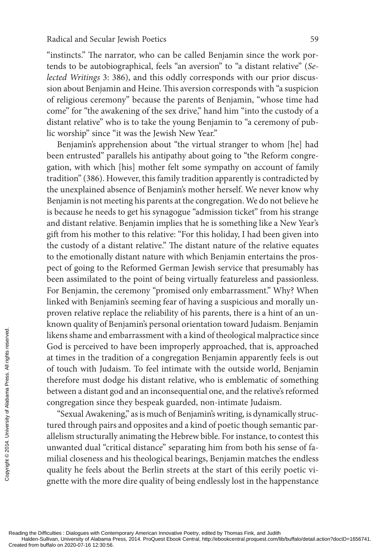"instincts." The narrator, who can be called Benjamin since the work portends to be autobiographical, feels "an aversion" to "a distant relative" (*Selected Writings* 3: 386), and this oddly corresponds with our prior discussion about Benjamin and Heine. This aversion corresponds with "a suspicion of religious ceremony" because the parents of Benjamin, "whose time had come" for "the awakening of the sex drive," hand him "into the custody of a distant relative" who is to take the young Benjamin to "a ceremony of public worship" since "it was the Jewish New Year."

Benjamin's apprehension about "the virtual stranger to whom [he] had been entrusted" parallels his antipathy about going to "the Reform congregation, with which [his] mother felt some sympathy on account of family tradition" (386). However, this family tradition apparently is contradicted by the unexplained absence of Benjamin's mother herself. We never know why Benjamin is not meeting his parents at the congregation. We do not believe he is because he needs to get his synagogue "admission ticket" from his strange and distant relative. Benjamin implies that he is something like a New Year's gift from his mother to this relative: "For this holiday, I had been given into the custody of a distant relative." The distant nature of the relative equates to the emotionally distant nature with which Benjamin entertains the prospect of going to the Reformed German Jewish service that presumably has been assimilated to the point of being virtually featureless and passionless. For Benjamin, the ceremony "promised only embarrassment." Why? When linked with Benjamin's seeming fear of having a suspicious and morally unproven relative replace the reliability of his parents, there is a hint of an unknown quality of Benjamin's personal orientation toward Judaism. Benjamin likens shame and embarrassment with a kind of theological malpractice since God is perceived to have been improperly approached, that is, approached at times in the tradition of a congregation Benjamin apparently feels is out of touch with Judaism. To feel intimate with the outside world, Benjamin therefore must dodge his distant relative, who is emblematic of something between a distant god and an inconsequential one, and the relative's reformed congregation since they bespeak guarded, non-intimate Judaism. Exercise the absolution of the tract of touch with Juda<br>
times in the tract of touch with Juda<br>
therefore must does<br>
between a distant g<br>
congregation since<br>
"Sexual Awaken<br>
tured through pair:<br>
allelism structurall<br>
unwan

"Sexual Awakening," as is much of Benjamin's writing, is dynamically structured through pairs and opposites and a kind of poetic though semantic parallelism structurally animating the Hebrew bible. For instance, to contest this unwanted dual "critical distance" separating him from both his sense of familial closeness and his theological bearings, Benjamin matches the endless quality he feels about the Berlin streets at the start of this eerily poetic vignette with the more dire quality of being endlessly lost in the happenstance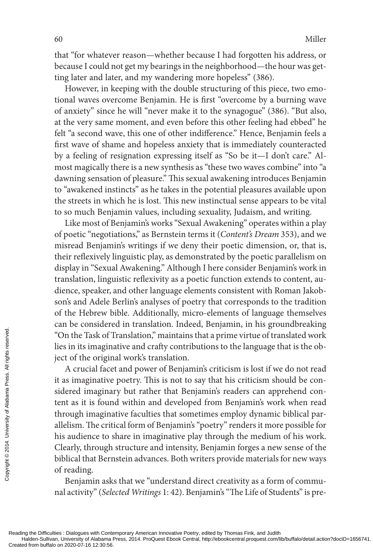that "for whatever reason—whether because I had forgotten his address, or because I could not get my bearings in the neighborhood—the hour was getting later and later, and my wandering more hopeless" (386).

However, in keeping with the double structuring of this piece, two emotional waves overcome Benjamin. He is first "overcome by a burning wave of anxiety" since he will "never make it to the synagogue" (386). "But also, at the very same moment, and even before this other feeling had ebbed" he felt "a second wave, this one of other indifference." Hence, Benjamin feels a first wave of shame and hopeless anxiety that is immediately counteracted by a feeling of resignation expressing itself as "So be it—I don't care." Almost magically there is a new synthesis as "these two waves combine" into "a dawning sensation of pleasure." This sexual awakening introduces Benjamin to "awakened instincts" as he takes in the potential pleasures available upon the streets in which he is lost. This new instinctual sense appears to be vital to so much Benjamin values, including sexuality, Judaism, and writing.

Like most of Benjamin's works "Sexual Awakening" operates within a play of poetic "negotiations," as Bernstein terms it (*Content's Dream* 353), and we misread Benjamin's writings if we deny their poetic dimension, or, that is, their reflexively linguistic play, as demonstrated by the poetic parallelism on display in "Sexual Awakening." Although I here consider Benjamin's work in translation, linguistic reflexivity as a poetic function extends to content, audience, speaker, and other language elements consistent with Roman Jakobson's and Adele Berlin's analyses of poetry that corresponds to the tradition of the Hebrew bible. Additionally, micro-elements of language themselves can be considered in translation. Indeed, Benjamin, in his groundbreaking "On the Task of Translation," maintains that a prime virtue of translated work lies in its imaginative and crafty contributions to the language that is the object of the original work's translation.

A crucial facet and power of Benjamin's criticism is lost if we do not read it as imaginative poetry. This is not to say that his criticism should be considered imaginary but rather that Benjamin's readers can apprehend content as it is found within and developed from Benjamin's work when read through imaginative faculties that sometimes employ dynamic biblical parallelism. The critical form of Benjamin's "poetry" renders it more possible for his audience to share in imaginative play through the medium of his work. Clearly, through structure and intensity, Benjamin forges a new sense of the biblical that Bernstein advances. Both writers provide materials for new ways of reading. Coreated from the Task of T<br>
lies in its imagina;<br>
ject of the origin<br>
a crucial face<br>
it as imaginative<br>
sidered imagina;<br>
tent as it is foun<br>
through imagina<br>
allelism. The crit<br>
his audience to s<br>
Clearly, through<br>
bibl

Benjamin asks that we "understand direct creativity as a form of communal activity" (*Selected Writings* 1: 42). Benjamin's "The Life of Students" is pre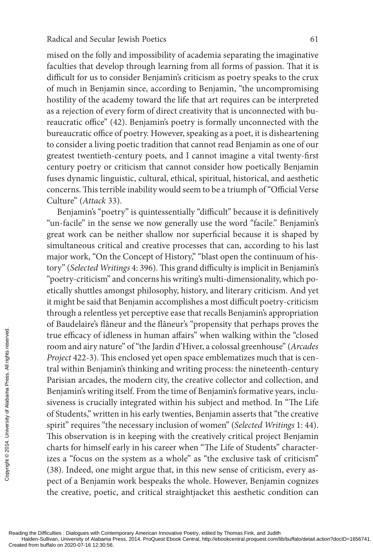mised on the folly and impossibility of academia separating the imaginative faculties that develop through learning from all forms of passion. That it is difficult for us to consider Benjamin's criticism as poetry speaks to the crux of much in Benjamin since, according to Benjamin, "the uncompromising hostility of the academy toward the life that art requires can be interpreted as a rejection of every form of direct creativity that is unconnected with bureaucratic office" (42). Benjamin's poetry is formally unconnected with the bureaucratic office of poetry. However, speaking as a poet, it is disheartening to consider a living poetic tradition that cannot read Benjamin as one of our greatest twentieth-century poets, and I cannot imagine a vital twenty-first century poetry or criticism that cannot consider how poetically Benjamin fuses dynamic linguistic, cultural, ethical, spiritual, historical, and aesthetic concerns. This terrible inability would seem to be a triumph of "Official Verse Culture" (*Attack* 33).

Benjamin's "poetry" is quintessentially "difficult" because it is definitively "un-facile" in the sense we now generally use the word "facile." Benjamin's great work can be neither shallow nor superficial because it is shaped by simultaneous critical and creative processes that can, according to his last major work, "On the Concept of History," "blast open the continuum of history" (*Selected Writings* 4: 396). This grand difficulty is implicit in Benjamin's "poetry-criticism" and concerns his writing's multi-dimensionality, which poetically shuttles amongst philosophy, history, and literary criticism. And yet it might be said that Benjamin accomplishes a most difficult poetry-criticism through a relentless yet perceptive ease that recalls Benjamin's appropriation of Baudelaire's flâneur and the flâneur's "propensity that perhaps proves the true efficacy of idleness in human affairs" when walking within the "closed room and airy nature" of "the Jardin d'Hiver, a colossal greenhouse" (*Arcades Project* 422-3). This enclosed yet open space emblematizes much that is central within Benjamin's thinking and writing process: the nineteenth-century Parisian arcades, the modern city, the creative collector and collection, and Benjamin's writing itself. From the time of Benjamin's formative years, inclusiveness is crucially integrated within his subject and method. In "The Life of Students," written in his early twenties, Benjamin asserts that "the creative spirit" requires "the necessary inclusion of women" (*Selected Writings* 1: 44). This observation is in keeping with the creatively critical project Benjamin charts for himself early in his career when "The Life of Students" characterizes a "focus on the system as a whole" as "the exclusive task of criticism" (38). Indeed, one might argue that, in this new sense of criticism, every aspect of a Benjamin work bespeaks the whole. However, Benjamin cognizes the creative, poetic, and critical straightjacket this aesthetic condition can From and airy nature of idle<br>
room and airy nature<br>
Project 422-3). This<br>
tral within Benjam<br>
Parisian arcades, the<br>
Benjamin's writing<br>
siveness is cruciall<br>
of Students," writte<br>
spirit" requires "the<br>
This observation i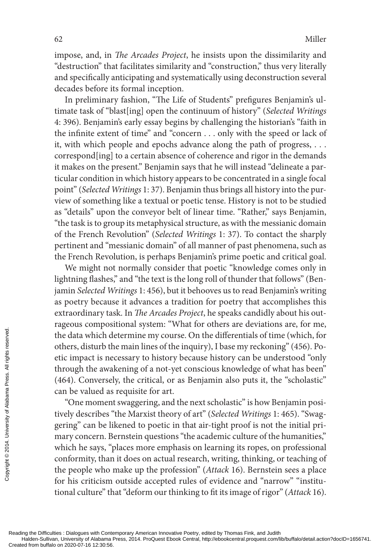impose, and, in *The Arcades Project*, he insists upon the dissimilarity and "destruction" that facilitates similarity and "construction," thus very literally and specifically anticipating and systematically using deconstruction several decades before its formal inception.

In preliminary fashion, "The Life of Students" prefigures Benjamin's ultimate task of "blast[ing] open the continuum of history" (*Selected Writings* 4: 396). Benjamin's early essay begins by challenging the historian's "faith in the infinite extent of time" and "concern . . . only with the speed or lack of it, with which people and epochs advance along the path of progress, . . . correspond[ing] to a certain absence of coherence and rigor in the demands it makes on the present." Benjamin says that he will instead "delineate a particular condition in which history appears to be concentrated in a single focal point" (*Selected Writings* 1: 37). Benjamin thus brings all history into the purview of something like a textual or poetic tense. History is not to be studied as "details" upon the conveyor belt of linear time. "Rather," says Benjamin, "the task is to group its metaphysical structure, as with the messianic domain of the French Revolution" (*Selected Writings* 1: 37). To contact the sharply pertinent and "messianic domain" of all manner of past phenomena, such as the French Revolution, is perhaps Benjamin's prime poetic and critical goal.

We might not normally consider that poetic "knowledge comes only in lightning flashes," and "the text is the long roll of thunder that follows" (Benjamin *Selected Writings* 1: 456), but it behooves us to read Benjamin's writing as poetry because it advances a tradition for poetry that accomplishes this extraordinary task. In *The Arcades Project*, he speaks candidly about his outrageous compositional system: "What for others are deviations are, for me, the data which determine my course. On the differentials of time (which, for others, disturb the main lines of the inquiry), I base my reckoning" (456). Poetic impact is necessary to history because history can be understood "only through the awakening of a not-yet conscious knowledge of what has been" (464). Conversely, the critical, or as Benjamin also puts it, the "scholastic" can be valued as requisite for art.

"One moment swaggering, and the next scholastic" is how Benjamin positively describes "the Marxist theory of art" (*Selected Writings* 1: 465). "Swaggering" can be likened to poetic in that air-tight proof is not the initial primary concern. Bernstein questions "the academic culture of the humanities," which he says, "places more emphasis on learning its ropes, on professional conformity, than it does on actual research, writing, thinking, or teaching of the people who make up the profession" (*Attack* 16). Bernstein sees a place for his criticism outside accepted rules of evidence and "narrow" "institutional culture" that "deform our thinking to fit its image of rigor" (*Attack* 16). Exercise the data which dothers, disturb the ethic impact is net through the awa (464). Conversel can be valued as "One moment tively describes "<br>gering" can be limary concern. B which he says, "ponemont tively describes"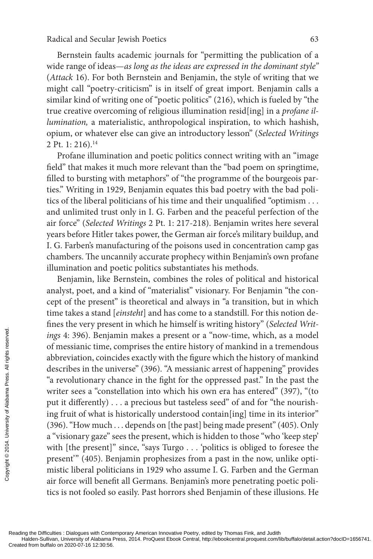Bernstein faults academic journals for "permitting the publication of a wide range of ideas—*as long as the ideas are expressed in the dominant style"* (*Attack* 16). For both Bernstein and Benjamin, the style of writing that we might call "poetry-criticism" is in itself of great import. Benjamin calls a similar kind of writing one of "poetic politics" (216), which is fueled by "the true creative overcoming of religious illumination resid[ing] in a *profane illumination,* a materialistic, anthropological inspiration, to which hashish, opium, or whatever else can give an introductory lesson" (*Selected Writings* 2 Pt. 1: 216).<sup>14</sup>

Profane illumination and poetic politics connect writing with an "image field" that makes it much more relevant than the "bad poem on springtime, filled to bursting with metaphors" of "the programme of the bourgeois parties." Writing in 1929, Benjamin equates this bad poetry with the bad politics of the liberal politicians of his time and their unqualified "optimism . . . and unlimited trust only in I. G. Farben and the peaceful perfection of the air force" (*Selected Writings* 2 Pt. 1: 217-218). Benjamin writes here several years before Hitler takes power, the German air force's military buildup, and I. G. Farben's manufacturing of the poisons used in concentration camp gas chambers. The uncannily accurate prophecy within Benjamin's own profane illumination and poetic politics substantiates his methods.

Benjamin, like Bernstein, combines the roles of political and historical analyst, poet, and a kind of "materialist" visionary. For Benjamin "the concept of the present" is theoretical and always in "a transition, but in which time takes a stand [*einsteht*] and has come to a standstill. For this notion defines the very present in which he himself is writing history" (*Selected Writings* 4: 396). Benjamin makes a present or a "now-time, which, as a model of messianic time, comprises the entire history of mankind in a tremendous abbreviation, coincides exactly with the figure which the history of mankind describes in the universe" (396). "A messianic arrest of happening" provides "a revolutionary chance in the fight for the oppressed past." In the past the writer sees a "constellation into which his own era has entered" (397), "(to put it differently) . . . a precious but tasteless seed" of and for "the nourishing fruit of what is historically understood contain[ing] time in its interior" (396). "How much . . . depends on [the past] being made present" (405). Only a "visionary gaze" sees the present, which is hidden to those "who 'keep step' with [the present]" since, "says Turgo . . . 'politics is obliged to foresee the present'" (405). Benjamin prophesizes from a past in the now, unlike optimistic liberal politicians in 1929 who assume I. G. Farben and the German air force will benefit all Germans. Benjamin's more penetrating poetic politics is not fooled so easily. Past horrors shed Benjamin of these illusions. He The same of messianic time,<br>
abbreviation, coinc<br>
describes in the un<br>
"a revolutionary ch<br>
writer sees a "cons<br>
put it differently).<br>
ing fruit of what is<br>
(396). "How much<br>
a "visionary gaze" s<br>
with [the present]" pres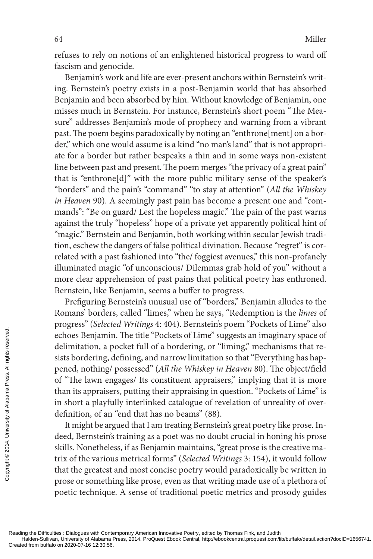refuses to rely on notions of an enlightened historical progress to ward off fascism and genocide.

Benjamin's work and life are ever-present anchors within Bernstein's writing. Bernstein's poetry exists in a post-Benjamin world that has absorbed Benjamin and been absorbed by him. Without knowledge of Benjamin, one misses much in Bernstein. For instance, Bernstein's short poem "The Measure" addresses Benjamin's mode of prophecy and warning from a vibrant past. The poem begins paradoxically by noting an "enthrone[ment] on a border," which one would assume is a kind "no man's land" that is not appropriate for a border but rather bespeaks a thin and in some ways non-existent line between past and present. The poem merges "the privacy of a great pain" that is "enthrone[d]" with the more public military sense of the speaker's "borders" and the pain's "command" "to stay at attention" (*All the Whiskey in Heaven* 90). A seemingly past pain has become a present one and "commands": "Be on guard/ Lest the hopeless magic." The pain of the past warns against the truly "hopeless" hope of a private yet apparently political hint of "magic." Bernstein and Benjamin, both working within secular Jewish tradition, eschew the dangers of false political divination. Because "regret" is correlated with a past fashioned into "the/ foggiest avenues," this non-profanely illuminated magic "of unconscious/ Dilemmas grab hold of you" without a more clear apprehension of past pains that political poetry has enthroned. Bernstein, like Benjamin, seems a buffer to progress.

Prefiguring Bernstein's unusual use of "borders," Benjamin alludes to the Romans' borders, called "limes," when he says, "Redemption is the *limes* of progress" (*Selected Writings* 4: 404). Bernstein's poem "Pockets of Lime" also echoes Benjamin. The title "Pockets of Lime" suggests an imaginary space of delimitation, a pocket full of a bordering, or "liming," mechanisms that resists bordering, defining, and narrow limitation so that "Everything has happened, nothing/ possessed" (*All the Whiskey in Heaven* 80). The object/field of "The lawn engages/ Its constituent appraisers," implying that it is more than its appraisers, putting their appraising in question. "Pockets of Lime" is in short a playfully interlinked catalogue of revelation of unreality of overdefinition, of an "end that has no beams" (88). Provided from buffalo on 2020-07-16 12:30:56. Copyright Creates from than its appraise in short a playful definition, of an 1t might be argued. Bernstein's skills. Nonethele trix of the various that the greatest prose or s

It might be argued that I am treating Bernstein's great poetry like prose. Indeed, Bernstein's training as a poet was no doubt crucial in honing his prose skills. Nonetheless, if as Benjamin maintains, "great prose is the creative matrix of the various metrical forms" (*Selected Writings* 3: 154), it would follow that the greatest and most concise poetry would paradoxically be written in prose or something like prose, even as that writing made use of a plethora of poetic technique. A sense of traditional poetic metrics and prosody guides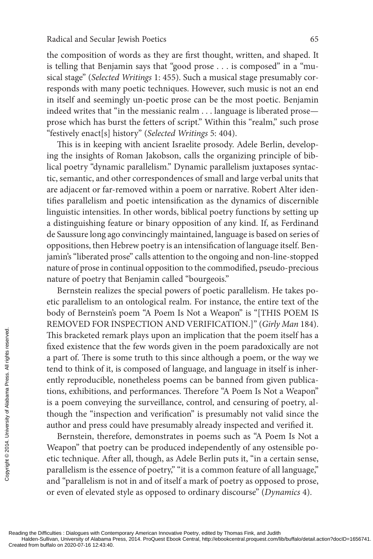the composition of words as they are first thought, written, and shaped. It is telling that Benjamin says that "good prose . . . is composed" in a "musical stage" (*Selected Writings* 1: 455). Such a musical stage presumably corresponds with many poetic techniques. However, such music is not an end in itself and seemingly un-poetic prose can be the most poetic. Benjamin indeed writes that "in the messianic realm . . . language is liberated prose prose which has burst the fetters of script." Within this "realm," such prose "festively enact[s] history" (*Selected Writings* 5: 404).

This is in keeping with ancient Israelite prosody. Adele Berlin, developing the insights of Roman Jakobson, calls the organizing principle of biblical poetry "dynamic parallelism." Dynamic parallelism juxtaposes syntactic, semantic, and other correspondences of small and large verbal units that are adjacent or far-removed within a poem or narrative. Robert Alter identifies parallelism and poetic intensification as the dynamics of discernible linguistic intensities. In other words, biblical poetry functions by setting up a distinguishing feature or binary opposition of any kind. If, as Ferdinand de Saussure long ago convincingly maintained, language is based on series of oppositions, then Hebrew poetry is an intensification of language itself. Benjamin's "liberated prose" calls attention to the ongoing and non-line-stopped nature of prose in continual opposition to the commodified, pseudo-precious nature of poetry that Benjamin called "bourgeois."

Bernstein realizes the special powers of poetic parallelism. He takes poetic parallelism to an ontological realm. For instance, the entire text of the body of Bernstein's poem "A Poem Is Not a Weapon" is "[THIS POEM IS REMOVED FOR INSPECTION AND VERIFICATION.]" (*Girly Man* 184). This bracketed remark plays upon an implication that the poem itself has a fixed existence that the few words given in the poem paradoxically are not a part of. There is some truth to this since although a poem, or the way we tend to think of it, is composed of language, and language in itself is inherently reproducible, nonetheless poems can be banned from given publications, exhibitions, and performances. Therefore "A Poem Is Not a Weapon" is a poem conveying the surveillance, control, and censuring of poetry, although the "inspection and verification" is presumably not valid since the author and press could have presumably already inspected and verified it. This bracketed rem<br>
fixed existence tha<br>
a part of. There is a<br>
tend to think of it,<br>
ently reproducible<br>
tions, exhibitions,<br>
is a poem conveyin<br>
though the "inspeed<br>
author and press comprehensions"<br>
Bernstein, there<br>
We

Bernstein, therefore, demonstrates in poems such as "A Poem Is Not a Weapon" that poetry can be produced independently of any ostensible poetic technique. After all, though, as Adele Berlin puts it, "in a certain sense, parallelism is the essence of poetry," "it is a common feature of all language," and "parallelism is not in and of itself a mark of poetry as opposed to prose, or even of elevated style as opposed to ordinary discourse" (*Dynamics* 4).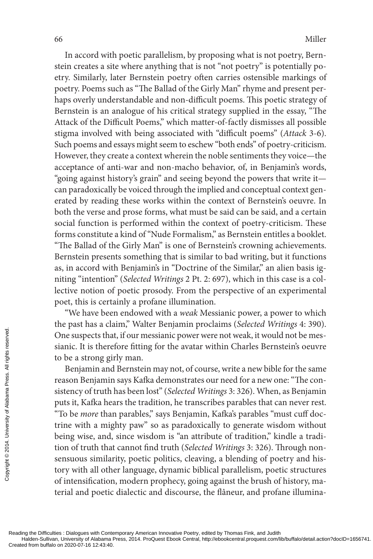In accord with poetic parallelism, by proposing what is not poetry, Bernstein creates a site where anything that is not "not poetry" is potentially poetry. Similarly, later Bernstein poetry often carries ostensible markings of poetry. Poems such as "The Ballad of the Girly Man" rhyme and present perhaps overly understandable and non-difficult poems. This poetic strategy of Bernstein is an analogue of his critical strategy supplied in the essay, "The Attack of the Difficult Poems," which matter-of-factly dismisses all possible stigma involved with being associated with "difficult poems" (*Attack* 3-6). Such poems and essays might seem to eschew "both ends" of poetry-criticism. However, they create a context wherein the noble sentiments they voice—the acceptance of anti-war and non-macho behavior, of, in Benjamin's words, "going against history's grain" and seeing beyond the powers that write it can paradoxically be voiced through the implied and conceptual context generated by reading these works within the context of Bernstein's oeuvre. In both the verse and prose forms, what must be said can be said, and a certain social function is performed within the context of poetry-criticism. These forms constitute a kind of "Nude Formalism," as Bernstein entitles a booklet. "The Ballad of the Girly Man" is one of Bernstein's crowning achievements. Bernstein presents something that is similar to bad writing, but it functions as, in accord with Benjamin's in "Doctrine of the Similar," an alien basis igniting "intention" (*Selected Writings* 2 Pt. 2: 697), which in this case is a collective notion of poetic prosody. From the perspective of an experimental poet, this is certainly a profane illumination.

"We have been endowed with a *weak* Messianic power, a power to which the past has a claim," Walter Benjamin proclaims (*Selected Writings* 4: 390). One suspects that, if our messianic power were not weak, it would not be messianic. It is therefore fitting for the avatar within Charles Bernstein's oeuvre to be a strong girly man.

Benjamin and Bernstein may not, of course, write a new bible for the same reason Benjamin says Kafka demonstrates our need for a new one: "The consistency of truth has been lost" (*Selected Writings* 3: 326). When, as Benjamin puts it, Kafka hears the tradition, he transcribes parables that can never rest. "To be *more* than parables," says Benjamin, Kafka's parables "must cuff doctrine with a mighty paw" so as paradoxically to generate wisdom without being wise, and, since wisdom is "an attribute of tradition," kindle a tradition of truth that cannot find truth (*Selected Writings* 3: 326). Through nonsensuous similarity, poetic politics, cleaving, a blending of poetry and history with all other language, dynamic biblical parallelism, poetic structures of intensification, modern prophecy, going against the brush of history, material and poetic dialectic and discourse, the flâneur, and profane illumina-Created from buffalo on 2021<br>
Experimentation of the antice of the astrong gin<br>
Benjamin and<br>
reason Benjamin<br>
sistency of truth<br>
puts it, Kafka hea<br>
"To be *more* than<br>
trine with a mig<br>
being wise, and,<br>
tion of truth th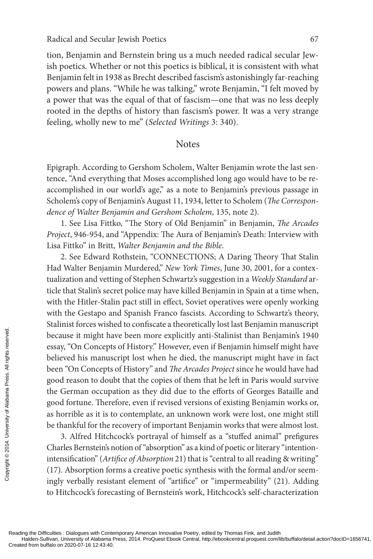tion, Benjamin and Bernstein bring us a much needed radical secular Jewish poetics. Whether or not this poetics is biblical, it is consistent with what Benjamin felt in 1938 as Brecht described fascism's astonishingly far-reaching powers and plans. "While he was talking," wrote Benjamin, "I felt moved by a power that was the equal of that of fascism—one that was no less deeply rooted in the depths of history than fascism's power. It was a very strange feeling, wholly new to me" (*Selected Writings* 3: 340).

## **Notes**

Epigraph. According to Gershom Scholem, Walter Benjamin wrote the last sentence, "And everything that Moses accomplished long ago would have to be reaccomplished in our world's age," as a note to Benjamin's previous passage in Scholem's copy of Benjamin's August 11, 1934, letter to Scholem (*The Correspondence of Walter Benjamin and Gershom Scholem*, 135, note 2).

1. See Lisa Fittko, "The Story of Old Benjamin" in Benjamin, *The Arcades Project*, 946-954, and "Appendix: The Aura of Benjamin's Death: Interview with Lisa Fittko" in Britt, *Walter Benjamin and the Bible*.

2. See Edward Rothstein, "CONNECTIONS; A Daring Theory That Stalin Had Walter Benjamin Murdered," *New York Times*, June 30, 2001, for a contextualization and vetting of Stephen Schwartz's suggestion in a *Weekly Standard* article that Stalin's secret police may have killed Benjamin in Spain at a time when, with the Hitler-Stalin pact still in effect, Soviet operatives were openly working with the Gestapo and Spanish Franco fascists. According to Schwartz's theory, Stalinist forces wished to confiscate a theoretically lost last Benjamin manuscript because it might have been more explicitly anti-Stalinist than Benjamin's 1940 essay, "On Concepts of History." However, even if Benjamin himself might have believed his manuscript lost when he died, the manuscript might have in fact been "On Concepts of History" and *The Arcades Project* since he would have had good reason to doubt that the copies of them that he left in Paris would survive the German occupation as they did due to the efforts of Georges Bataille and good fortune. Therefore, even if revised versions of existing Benjamin works or, as horrible as it is to contemplate, an unknown work were lost, one might still be thankful for the recovery of important Benjamin works that were almost lost. Beause it might ha<br>
essay, "On Concepts<br>
believed his manus<br>
been "On Concepts<br>
good reason to doul<br>
the German occupa<br>
good fortune. There<br>
as horrible as it is to<br>
be thankful for the r<br>
3. Alfred Hitch<br>
Charles Bernstei

3. Alfred Hitchcock's portrayal of himself as a "stuffed animal" prefigures Charles Bernstein's notion of "absorption" as a kind of poetic or literary "intentionintensification" (*Artifice of Absorption* 21) that is "central to all reading & writing" (17). Absorption forms a creative poetic synthesis with the formal and/or seemingly verbally resistant element of "artifice" or "impermeability" (21). Adding to Hitchcock's forecasting of Bernstein's work, Hitchcock's self-characterization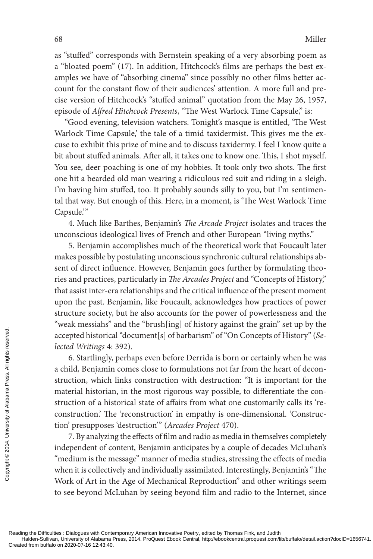as "stuffed" corresponds with Bernstein speaking of a very absorbing poem as a "bloated poem" (17). In addition, Hitchcock's films are perhaps the best examples we have of "absorbing cinema" since possibly no other films better account for the constant flow of their audiences' attention. A more full and precise version of Hitchcock's "stuffed animal" quotation from the May 26, 1957, episode of *Alfred Hitchcock Presents*, "The West Warlock Time Capsule," is:

"Good evening, television watchers. Tonight's masque is entitled, 'The West Warlock Time Capsule,' the tale of a timid taxidermist. This gives me the excuse to exhibit this prize of mine and to discuss taxidermy. I feel I know quite a bit about stuffed animals. After all, it takes one to know one. This, I shot myself. You see, deer poaching is one of my hobbies. It took only two shots. The first one hit a bearded old man wearing a ridiculous red suit and riding in a sleigh. I'm having him stuffed, too. It probably sounds silly to you, but I'm sentimental that way. But enough of this. Here, in a moment, is 'The West Warlock Time Capsule.'"

4. Much like Barthes, Benjamin's *The Arcade Project* isolates and traces the unconscious ideological lives of French and other European "living myths."

5. Benjamin accomplishes much of the theoretical work that Foucault later makes possible by postulating unconscious synchronic cultural relationships absent of direct influence. However, Benjamin goes further by formulating theories and practices, particularly in *The Arcades Project* and "Concepts of History," that assist inter-era relationships and the critical influence of the present moment upon the past. Benjamin, like Foucault, acknowledges how practices of power structure society, but he also accounts for the power of powerlessness and the "weak messiahs" and the "brush[ing] of history against the grain" set up by the accepted historical "document[s] of barbarism" of "On Concepts of History" (*Selected Writings* 4: 392).

6. Startlingly, perhaps even before Derrida is born or certainly when he was a child, Benjamin comes close to formulations not far from the heart of deconstruction, which links construction with destruction: "It is important for the material historian, in the most rigorous way possible, to differentiate the construction of a historical state of affairs from what one customarily calls its 'reconstruction.' The 'reconstruction' in empathy is one-dimensional. 'Construction' presupposes 'destruction'" (*Arcades Project* 470). Exerced historica<br> *lected Writings* 4:<br>
6. Startlingly,<br>
a child, Benjamin<br>
struction, which<br>
material historiar<br>
struction of a his<br>
construction. The<br>
tion' presupposes<br>
7. By analyzin<br>
independent of cc<br>
<sup>@ 2</sup> medium i

7. By analyzing the effects of film and radio as media in themselves completely independent of content, Benjamin anticipates by a couple of decades McLuhan's "medium is the message" manner of media studies, stressing the effects of media when it is collectively and individually assimilated. Interestingly, Benjamin's "The Work of Art in the Age of Mechanical Reproduction" and other writings seem to see beyond McLuhan by seeing beyond film and radio to the Internet, since